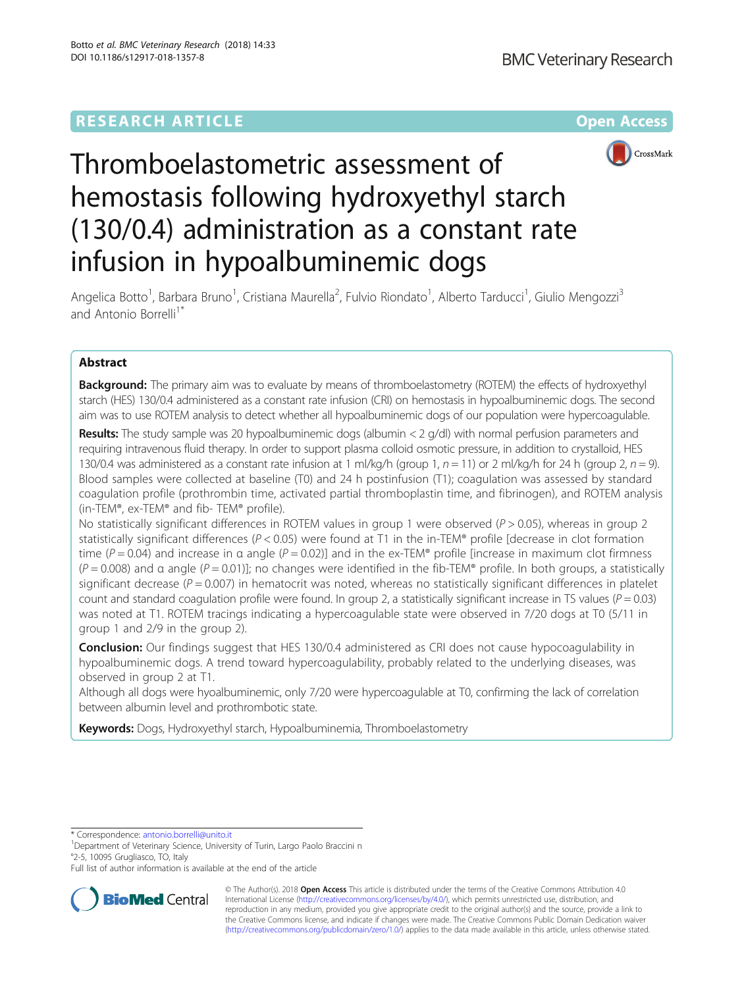# **RESEARCH ARTICLE Example 2014 12:30 The Contract of Contract ACCESS**



# Thromboelastometric assessment of hemostasis following hydroxyethyl starch (130/0.4) administration as a constant rate infusion in hypoalbuminemic dogs

Angelica Botto<sup>1</sup>, Barbara Bruno<sup>1</sup>, Cristiana Maurella<sup>2</sup>, Fulvio Riondato<sup>1</sup>, Alberto Tarducci<sup>1</sup>, Giulio Mengozzi<sup>3</sup> and Antonio Borrelli<sup>1\*</sup>

# Abstract

**Background:** The primary aim was to evaluate by means of thromboelastometry (ROTEM) the effects of hydroxyethyl starch (HES) 130/0.4 administered as a constant rate infusion (CRI) on hemostasis in hypoalbuminemic dogs. The second aim was to use ROTEM analysis to detect whether all hypoalbuminemic dogs of our population were hypercoagulable.

**Results:** The study sample was 20 hypoalbuminemic dogs (albumin  $<$  2 g/dl) with normal perfusion parameters and requiring intravenous fluid therapy. In order to support plasma colloid osmotic pressure, in addition to crystalloid, HES 130/0.4 was administered as a constant rate infusion at 1 ml/kg/h (group 1,  $n = 11$ ) or 2 ml/kg/h for 24 h (group 2,  $n = 9$ ). Blood samples were collected at baseline (T0) and 24 h postinfusion (T1); coagulation was assessed by standard coagulation profile (prothrombin time, activated partial thromboplastin time, and fibrinogen), and ROTEM analysis (in-TEM®, ex-TEM® and fib- TEM® profile).

No statistically significant differences in ROTEM values in group 1 were observed ( $P > 0.05$ ), whereas in group 2 statistically significant differences ( $P < 0.05$ ) were found at T1 in the in-TEM® profile [decrease in clot formation time ( $P = 0.04$ ) and increase in α angle ( $P = 0.02$ )] and in the ex-TEM® profile [increase in maximum clot firmness  $(P = 0.008)$  and α angle  $(P = 0.01)$ ]; no changes were identified in the fib-TEM® profile. In both groups, a statistically significant decrease ( $P = 0.007$ ) in hematocrit was noted, whereas no statistically significant differences in platelet count and standard coagulation profile were found. In group 2, a statistically significant increase in TS values ( $P = 0.03$ ) was noted at T1. ROTEM tracings indicating a hypercoagulable state were observed in 7/20 dogs at T0 (5/11 in group 1 and 2/9 in the group 2).

**Conclusion:** Our findings suggest that HES 130/0.4 administered as CRI does not cause hypocoagulability in hypoalbuminemic dogs. A trend toward hypercoagulability, probably related to the underlying diseases, was observed in group 2 at T1.

Although all dogs were hyoalbuminemic, only 7/20 were hypercoagulable at T0, confirming the lack of correlation between albumin level and prothrombotic state.

Keywords: Dogs, Hydroxyethyl starch, Hypoalbuminemia, Thromboelastometry

\* Correspondence: [antonio.borrelli@unito.it](mailto:antonio.borrelli@unito.it) <sup>1</sup>

<sup>1</sup>Department of Veterinary Science, University of Turin, Largo Paolo Braccini n °2-5, 10095 Grugliasco, TO, Italy

Full list of author information is available at the end of the article



© The Author(s). 2018 Open Access This article is distributed under the terms of the Creative Commons Attribution 4.0 International License [\(http://creativecommons.org/licenses/by/4.0/](http://creativecommons.org/licenses/by/4.0/)), which permits unrestricted use, distribution, and reproduction in any medium, provided you give appropriate credit to the original author(s) and the source, provide a link to the Creative Commons license, and indicate if changes were made. The Creative Commons Public Domain Dedication waiver [\(http://creativecommons.org/publicdomain/zero/1.0/](http://creativecommons.org/publicdomain/zero/1.0/)) applies to the data made available in this article, unless otherwise stated.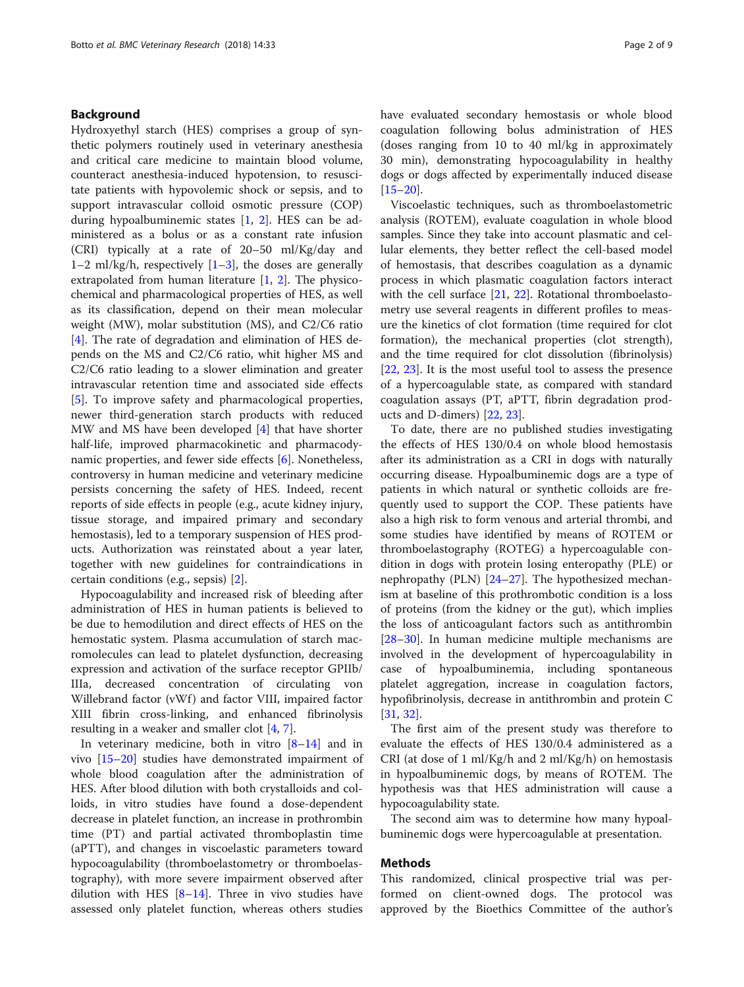# Background

Hydroxyethyl starch (HES) comprises a group of synthetic polymers routinely used in veterinary anesthesia and critical care medicine to maintain blood volume, counteract anesthesia-induced hypotension, to resuscitate patients with hypovolemic shock or sepsis, and to support intravascular colloid osmotic pressure (COP) during hypoalbuminemic states [[1,](#page-7-0) [2](#page-7-0)]. HES can be administered as a bolus or as a constant rate infusion (CRI) typically at a rate of 20–50 ml/Kg/day and [1](#page-7-0)–2 ml/kg/h, respectively  $[1-3]$  $[1-3]$ , the doses are generally extrapolated from human literature [\[1](#page-7-0), [2](#page-7-0)]. The physicochemical and pharmacological properties of HES, as well as its classification, depend on their mean molecular weight (MW), molar substitution (MS), and C2/C6 ratio [[4\]](#page-7-0). The rate of degradation and elimination of HES depends on the MS and C2/C6 ratio, whit higher MS and C2/C6 ratio leading to a slower elimination and greater intravascular retention time and associated side effects [[5\]](#page-7-0). To improve safety and pharmacological properties, newer third-generation starch products with reduced MW and MS have been developed [\[4](#page-7-0)] that have shorter half-life, improved pharmacokinetic and pharmacody-namic properties, and fewer side effects [\[6](#page-7-0)]. Nonetheless, controversy in human medicine and veterinary medicine persists concerning the safety of HES. Indeed, recent reports of side effects in people (e.g., acute kidney injury, tissue storage, and impaired primary and secondary hemostasis), led to a temporary suspension of HES products. Authorization was reinstated about a year later, together with new guidelines for contraindications in certain conditions (e.g., sepsis) [[2\]](#page-7-0).

Hypocoagulability and increased risk of bleeding after administration of HES in human patients is believed to be due to hemodilution and direct effects of HES on the hemostatic system. Plasma accumulation of starch macromolecules can lead to platelet dysfunction, decreasing expression and activation of the surface receptor GPIIb/ IIIa, decreased concentration of circulating von Willebrand factor (vWf) and factor VIII, impaired factor XIII fibrin cross-linking, and enhanced fibrinolysis resulting in a weaker and smaller clot [[4,](#page-7-0) [7\]](#page-7-0).

In veterinary medicine, both in vitro  $[8-14]$  $[8-14]$  $[8-14]$  and in vivo [[15](#page-8-0)–[20\]](#page-8-0) studies have demonstrated impairment of whole blood coagulation after the administration of HES. After blood dilution with both crystalloids and colloids, in vitro studies have found a dose-dependent decrease in platelet function, an increase in prothrombin time (PT) and partial activated thromboplastin time (aPTT), and changes in viscoelastic parameters toward hypocoagulability (thromboelastometry or thromboelastography), with more severe impairment observed after dilution with HES  $[8-14]$  $[8-14]$  $[8-14]$ . Three in vivo studies have assessed only platelet function, whereas others studies have evaluated secondary hemostasis or whole blood coagulation following bolus administration of HES (doses ranging from 10 to 40 ml/kg in approximately 30 min), demonstrating hypocoagulability in healthy dogs or dogs affected by experimentally induced disease [[15](#page-8-0)–[20](#page-8-0)].

Viscoelastic techniques, such as thromboelastometric analysis (ROTEM), evaluate coagulation in whole blood samples. Since they take into account plasmatic and cellular elements, they better reflect the cell-based model of hemostasis, that describes coagulation as a dynamic process in which plasmatic coagulation factors interact with the cell surface [[21,](#page-8-0) [22](#page-8-0)]. Rotational thromboelastometry use several reagents in different profiles to measure the kinetics of clot formation (time required for clot formation), the mechanical properties (clot strength), and the time required for clot dissolution (fibrinolysis) [[22,](#page-8-0) [23](#page-8-0)]. It is the most useful tool to assess the presence of a hypercoagulable state, as compared with standard coagulation assays (PT, aPTT, fibrin degradation products and D-dimers) [\[22](#page-8-0), [23\]](#page-8-0).

To date, there are no published studies investigating the effects of HES 130/0.4 on whole blood hemostasis after its administration as a CRI in dogs with naturally occurring disease. Hypoalbuminemic dogs are a type of patients in which natural or synthetic colloids are frequently used to support the COP. These patients have also a high risk to form venous and arterial thrombi, and some studies have identified by means of ROTEM or thromboelastography (ROTEG) a hypercoagulable condition in dogs with protein losing enteropathy (PLE) or nephropathy (PLN) [[24](#page-8-0)–[27](#page-8-0)]. The hypothesized mechanism at baseline of this prothrombotic condition is a loss of proteins (from the kidney or the gut), which implies the loss of anticoagulant factors such as antithrombin [[28](#page-8-0)–[30](#page-8-0)]. In human medicine multiple mechanisms are involved in the development of hypercoagulability in case of hypoalbuminemia, including spontaneous platelet aggregation, increase in coagulation factors, hypofibrinolysis, decrease in antithrombin and protein C [[31,](#page-8-0) [32\]](#page-8-0).

The first aim of the present study was therefore to evaluate the effects of HES 130/0.4 administered as a CRI (at dose of 1 ml/Kg/h and 2 ml/Kg/h) on hemostasis in hypoalbuminemic dogs, by means of ROTEM. The hypothesis was that HES administration will cause a hypocoagulability state.

The second aim was to determine how many hypoalbuminemic dogs were hypercoagulable at presentation.

### Methods

This randomized, clinical prospective trial was performed on client-owned dogs. The protocol was approved by the Bioethics Committee of the author's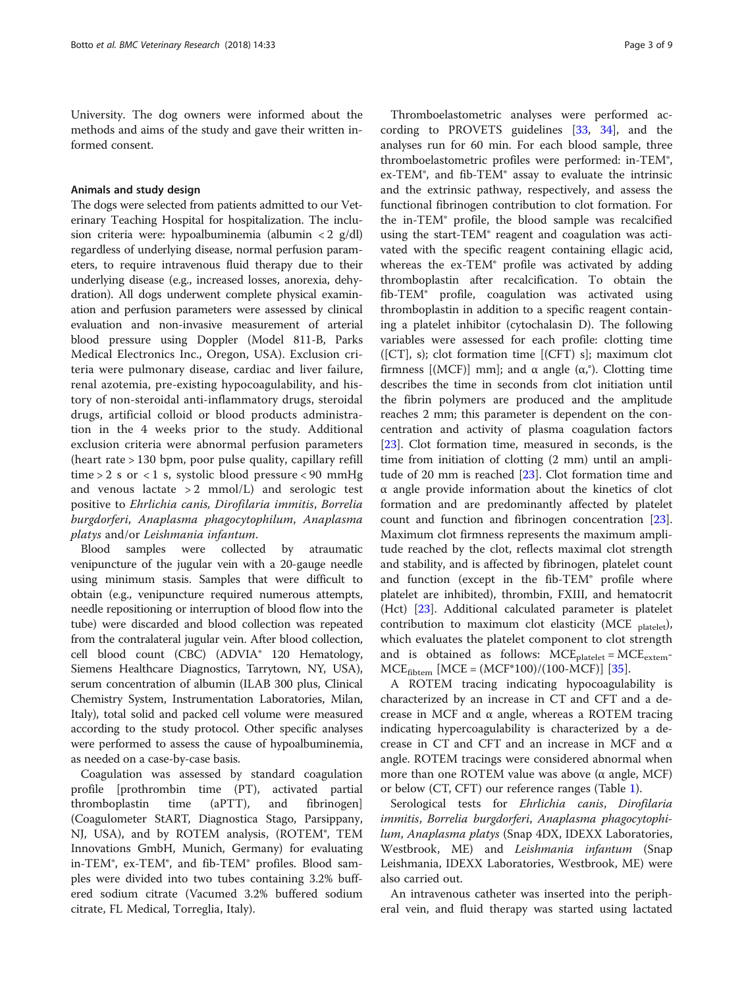University. The dog owners were informed about the methods and aims of the study and gave their written informed consent.

## Animals and study design

The dogs were selected from patients admitted to our Veterinary Teaching Hospital for hospitalization. The inclusion criteria were: hypoalbuminemia (albumin < 2 g/dl) regardless of underlying disease, normal perfusion parameters, to require intravenous fluid therapy due to their underlying disease (e.g., increased losses, anorexia, dehydration). All dogs underwent complete physical examination and perfusion parameters were assessed by clinical evaluation and non-invasive measurement of arterial blood pressure using Doppler (Model 811-B, Parks Medical Electronics Inc., Oregon, USA). Exclusion criteria were pulmonary disease, cardiac and liver failure, renal azotemia, pre-existing hypocoagulability, and history of non-steroidal anti-inflammatory drugs, steroidal drugs, artificial colloid or blood products administration in the 4 weeks prior to the study. Additional exclusion criteria were abnormal perfusion parameters (heart rate > 130 bpm, poor pulse quality, capillary refill time  $> 2$  s or  $< 1$  s, systolic blood pressure  $< 90$  mmHg and venous lactate  $> 2$  mmol/L) and serologic test positive to Ehrlichia canis, Dirofilaria immitis, Borrelia burgdorferi, Anaplasma phagocytophilum, Anaplasma platys and/or Leishmania infantum.

Blood samples were collected by atraumatic venipuncture of the jugular vein with a 20-gauge needle using minimum stasis. Samples that were difficult to obtain (e.g., venipuncture required numerous attempts, needle repositioning or interruption of blood flow into the tube) were discarded and blood collection was repeated from the contralateral jugular vein. After blood collection, cell blood count (CBC) (ADVIA® 120 Hematology, Siemens Healthcare Diagnostics, Tarrytown, NY, USA), serum concentration of albumin (ILAB 300 plus, Clinical Chemistry System, Instrumentation Laboratories, Milan, Italy), total solid and packed cell volume were measured according to the study protocol. Other specific analyses were performed to assess the cause of hypoalbuminemia, as needed on a case-by-case basis.

Coagulation was assessed by standard coagulation profile [prothrombin time (PT), activated partial thromboplastin time (aPTT), and fibrinogen] (Coagulometer StART, Diagnostica Stago, Parsippany, NJ, USA), and by ROTEM analysis, (ROTEM®, TEM Innovations GmbH, Munich, Germany) for evaluating in-TEM®, ex-TEM®, and fib-TEM® profiles. Blood samples were divided into two tubes containing 3.2% buffered sodium citrate (Vacumed 3.2% buffered sodium citrate, FL Medical, Torreglia, Italy).

Thromboelastometric analyses were performed according to PROVETS guidelines [\[33,](#page-8-0) [34](#page-8-0)], and the analyses run for 60 min. For each blood sample, three thromboelastometric profiles were performed: in-TEM®, ex-TEM®, and fib-TEM® assay to evaluate the intrinsic and the extrinsic pathway, respectively, and assess the functional fibrinogen contribution to clot formation. For the in-TEM® profile, the blood sample was recalcified using the start-TEM® reagent and coagulation was activated with the specific reagent containing ellagic acid, whereas the ex-TEM® profile was activated by adding thromboplastin after recalcification. To obtain the fib-TEM® profile, coagulation was activated using thromboplastin in addition to a specific reagent containing a platelet inhibitor (cytochalasin D). The following variables were assessed for each profile: clotting time  $([CT], s)$ ; clot formation time  $[(CFT) s]$ ; maximum clot firmness [(MCF)] mm]; and α angle (α,°). Clotting time describes the time in seconds from clot initiation until the fibrin polymers are produced and the amplitude reaches 2 mm; this parameter is dependent on the concentration and activity of plasma coagulation factors [[23\]](#page-8-0). Clot formation time, measured in seconds, is the time from initiation of clotting (2 mm) until an amplitude of 20 mm is reached [[23](#page-8-0)]. Clot formation time and α angle provide information about the kinetics of clot formation and are predominantly affected by platelet count and function and fibrinogen concentration [\[23](#page-8-0)]. Maximum clot firmness represents the maximum amplitude reached by the clot, reflects maximal clot strength and stability, and is affected by fibrinogen, platelet count and function (except in the fib-TEM® profile where platelet are inhibited), thrombin, FXIII, and hematocrit (Hct) [[23\]](#page-8-0). Additional calculated parameter is platelet contribution to maximum clot elasticity (MCE  $_{\text{platelet}}$ ), which evaluates the platelet component to clot strength and is obtained as follows:  $MCE_{platelet} = MCE_{extem}$  $MCE_{fiber}$  [MCE =  $(MCF*100)/(100-MCF)$ ] [[35\]](#page-8-0).

A ROTEM tracing indicating hypocoagulability is characterized by an increase in CT and CFT and a decrease in MCF and α angle, whereas a ROTEM tracing indicating hypercoagulability is characterized by a decrease in CT and CFT and an increase in MCF and α angle. ROTEM tracings were considered abnormal when more than one ROTEM value was above ( $α$  angle, MCF) or below (CT, CFT) our reference ranges (Table [1](#page-3-0)).

Serological tests for *Ehrlichia canis*, *Dirofilaria* immitis, Borrelia burgdorferi, Anaplasma phagocytophilum, Anaplasma platys (Snap 4DX, IDEXX Laboratories, Westbrook, ME) and Leishmania infantum (Snap Leishmania, IDEXX Laboratories, Westbrook, ME) were also carried out.

An intravenous catheter was inserted into the peripheral vein, and fluid therapy was started using lactated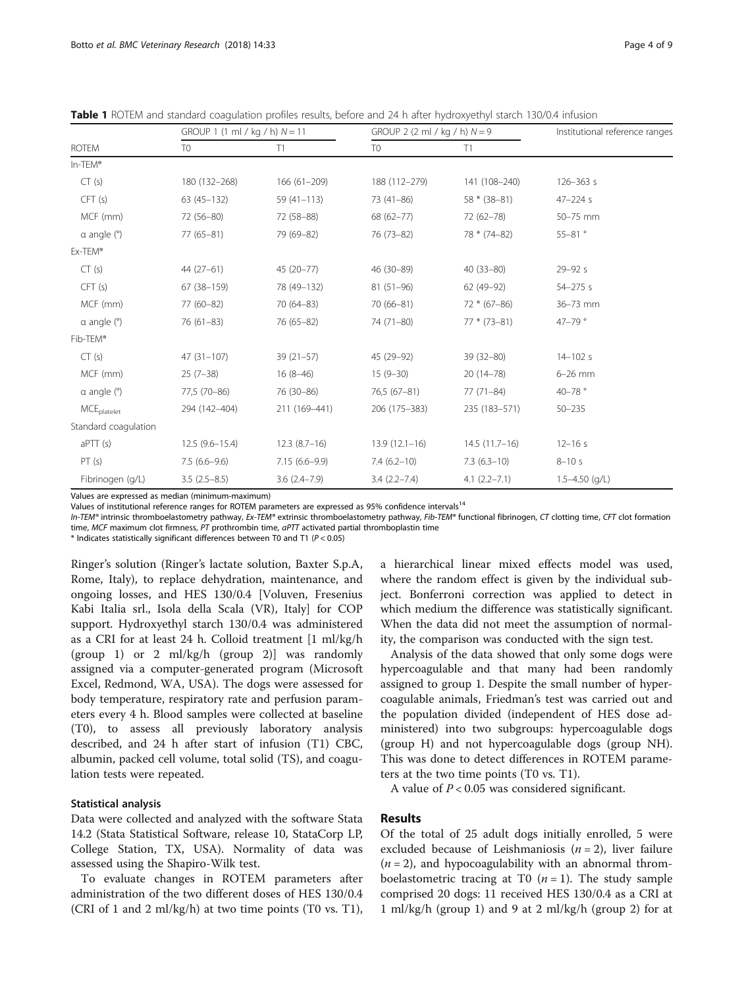|                               | GROUP 1 (1 ml / kg / h) $N = 11$ |                  | GROUP 2 (2 ml / kg / h) $N = 9$ |                  | Institutional reference ranges |  |
|-------------------------------|----------------------------------|------------------|---------------------------------|------------------|--------------------------------|--|
| <b>ROTEM</b>                  | T <sub>0</sub>                   | T1               | T <sub>0</sub>                  | T1               |                                |  |
| In-TEM®                       |                                  |                  |                                 |                  |                                |  |
| CT(s)                         | 180 (132-268)                    | $166(61-209)$    | 188 (112-279)                   | 141 (108-240)    | $126 - 363$ s                  |  |
| CFT(s)                        | $63(45-132)$                     | $59(41 - 113)$   | 73 (41-86)                      | $58 * (38 - 81)$ | $47 - 224s$                    |  |
| MCF (mm)                      | 72 (56-80)                       | 72 (58-88)       | $68(62 - 77)$                   | 72 (62-78)       | 50-75 mm                       |  |
| $\alpha$ angle $(°)$          | $77(65-81)$                      | 79 (69-82)       | 76 (73-82)                      | 78 * (74-82)     | $55 - 81$ °                    |  |
| Ex-TEM®                       |                                  |                  |                                 |                  |                                |  |
| CT(s)                         | $44(27-61)$                      | 45 (20-77)       | 46 (30-89)                      | $40(33 - 80)$    | $29 - 92s$                     |  |
| CFT(s)                        | 67 (38-159)                      | 78 (49-132)      | $81(51-96)$                     | $62(49-92)$      | $54 - 275s$                    |  |
| MCF (mm)                      | 77 (60-82)                       | $70(64 - 83)$    | $70(66-81)$                     | $72 * (67 - 86)$ | 36-73 mm                       |  |
| $\alpha$ angle $\binom{6}{2}$ | $76(61-83)$                      | 76 (65-82)       | 74 (71-80)                      | $77 * (73 - 81)$ | 47-79 $^{\circ}$               |  |
| Fib-TEM®                      |                                  |                  |                                 |                  |                                |  |
| CT(s)                         | $47(31-107)$                     | $39(21-57)$      | 45 (29-92)                      | $39(32 - 80)$    | $14 - 102s$                    |  |
| MCF (mm)                      | $25(7-38)$                       | $16(8-46)$       | $15(9-30)$                      | $20(14-78)$      | $6-26$ mm                      |  |
| $\alpha$ angle $(°)$          | 77,5 (70-86)                     | 76 (30-86)       | 76,5 (67-81)                    | $77(71 - 84)$    | 40-78°                         |  |
| <b>MCE</b> platelet           | 294 (142-404)                    | 211 (169-441)    | 206 (175-383)                   | 235 (183-571)    | $50 - 235$                     |  |
| Standard coagulation          |                                  |                  |                                 |                  |                                |  |
| aPTT(s)                       | $12.5(9.6 - 15.4)$               | $12.3(8.7-16)$   | $13.9(12.1-16)$                 | $14.5(11.7-16)$  | $12 - 16s$                     |  |
| PT(s)                         | $7.5(6.6-9.6)$                   | $7.15(6.6-9.9)$  | $7.4(6.2-10)$                   | $7.3(6.3-10)$    | $8 - 10s$                      |  |
| Fibrinogen (g/L)              | $3.5(2.5-8.5)$                   | $3.6(2.4 - 7.9)$ | $3.4(2.2 - 7.4)$                | $4.1(2.2 - 7.1)$ | $1.5 - 4.50$ (g/L)             |  |

<span id="page-3-0"></span>Table 1 ROTEM and standard coagulation profiles results, before and 24 h after hydroxyethyl starch 130/0.4 infusion

Values are expressed as median (minimum-maximum)

Values of institutional reference ranges for ROTEM parameters are expressed as 95% confidence intervals<sup>14</sup>

In-TEM® intrinsic thromboelastometry pathway, Ex-TEM® extrinsic thromboelastometry pathway, Fib-TEM® functional fibrinogen, CT clotting time, CFT clot formation time, MCF maximum clot firmness, PT prothrombin time,  $aPTT$  activated partial thromboplastin time

 $*$  Indicates statistically significant differences between T0 and T1 ( $P < 0.05$ )

Ringer's solution (Ringer's lactate solution, Baxter S.p.A, Rome, Italy), to replace dehydration, maintenance, and ongoing losses, and HES 130/0.4 [Voluven, Fresenius Kabi Italia srl., Isola della Scala (VR), Italy] for COP support. Hydroxyethyl starch 130/0.4 was administered as a CRI for at least 24 h. Colloid treatment [1 ml/kg/h (group 1) or 2 ml/kg/h (group 2)] was randomly assigned via a computer-generated program (Microsoft Excel, Redmond, WA, USA). The dogs were assessed for body temperature, respiratory rate and perfusion parameters every 4 h. Blood samples were collected at baseline (T0), to assess all previously laboratory analysis described, and 24 h after start of infusion (T1) CBC, albumin, packed cell volume, total solid (TS), and coagulation tests were repeated.

## Statistical analysis

Data were collected and analyzed with the software Stata 14.2 (Stata Statistical Software, release 10, StataCorp LP, College Station, TX, USA). Normality of data was assessed using the Shapiro-Wilk test.

To evaluate changes in ROTEM parameters after administration of the two different doses of HES 130/0.4 (CRI of 1 and 2 ml/kg/h) at two time points (T0 vs. T1),

a hierarchical linear mixed effects model was used, where the random effect is given by the individual subject. Bonferroni correction was applied to detect in which medium the difference was statistically significant. When the data did not meet the assumption of normality, the comparison was conducted with the sign test.

Analysis of the data showed that only some dogs were hypercoagulable and that many had been randomly assigned to group 1. Despite the small number of hypercoagulable animals, Friedman's test was carried out and the population divided (independent of HES dose administered) into two subgroups: hypercoagulable dogs (group H) and not hypercoagulable dogs (group NH). This was done to detect differences in ROTEM parameters at the two time points (T0 vs. T1).

A value of  $P < 0.05$  was considered significant.

# Results

Of the total of 25 adult dogs initially enrolled, 5 were excluded because of Leishmaniosis ( $n = 2$ ), liver failure  $(n = 2)$ , and hypocoagulability with an abnormal thromboelastometric tracing at T0  $(n = 1)$ . The study sample comprised 20 dogs: 11 received HES 130/0.4 as a CRI at 1 ml/kg/h (group 1) and 9 at 2 ml/kg/h (group 2) for at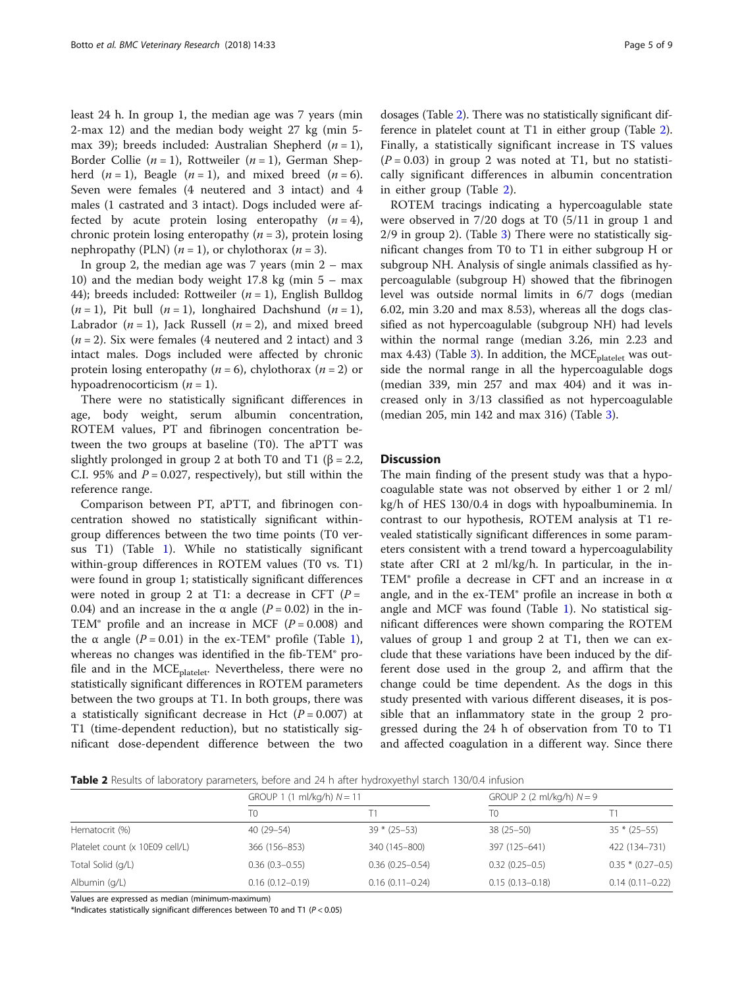least 24 h. In group 1, the median age was 7 years (min 2-max 12) and the median body weight 27 kg (min 5 max 39); breeds included: Australian Shepherd  $(n = 1)$ , Border Collie ( $n = 1$ ), Rottweiler ( $n = 1$ ), German Shepherd  $(n = 1)$ , Beagle  $(n = 1)$ , and mixed breed  $(n = 6)$ . Seven were females (4 neutered and 3 intact) and 4 males (1 castrated and 3 intact). Dogs included were affected by acute protein losing enteropathy  $(n = 4)$ , chronic protein losing enteropathy  $(n = 3)$ , protein losing nephropathy (PLN)  $(n = 1)$ , or chylothorax  $(n = 3)$ .

In group 2, the median age was  $7$  years (min  $2 - \text{max}$ ) 10) and the median body weight 17.8 kg (min  $5 - \text{max}$ ) 44); breeds included: Rottweiler  $(n = 1)$ , English Bulldog  $(n = 1)$ , Pit bull  $(n = 1)$ , longhaired Dachshund  $(n = 1)$ , Labrador  $(n = 1)$ , Jack Russell  $(n = 2)$ , and mixed breed  $(n = 2)$ . Six were females (4 neutered and 2 intact) and 3 intact males. Dogs included were affected by chronic protein losing enteropathy ( $n = 6$ ), chylothorax ( $n = 2$ ) or hypoadrenocorticism  $(n = 1)$ .

There were no statistically significant differences in age, body weight, serum albumin concentration, ROTEM values, PT and fibrinogen concentration between the two groups at baseline (T0). The aPTT was slightly prolonged in group 2 at both T0 and T1 ( $\beta$  = 2.2, C.I. 95% and  $P = 0.027$ , respectively), but still within the reference range.

Comparison between PT, aPTT, and fibrinogen concentration showed no statistically significant withingroup differences between the two time points (T0 versus T1) (Table [1](#page-3-0)). While no statistically significant within-group differences in ROTEM values (T0 vs. T1) were found in group 1; statistically significant differences were noted in group 2 at T1: a decrease in CFT  $(P =$ 0.04) and an increase in the  $\alpha$  angle ( $P = 0.02$ ) in the in-TEM® profile and an increase in MCF ( $P = 0.008$ ) and the α angle ( $P = 0.01$  $P = 0.01$ ) in the ex-TEM<sup>®</sup> profile (Table 1), whereas no changes was identified in the fib-TEM® profile and in the MCE<sub>platelet</sub>. Nevertheless, there were no statistically significant differences in ROTEM parameters between the two groups at T1. In both groups, there was a statistically significant decrease in Hct  $(P = 0.007)$  at T1 (time-dependent reduction), but no statistically significant dose-dependent difference between the two

dosages (Table 2). There was no statistically significant difference in platelet count at T1 in either group (Table 2). Finally, a statistically significant increase in TS values  $(P = 0.03)$  in group 2 was noted at T1, but no statistically significant differences in albumin concentration in either group (Table 2).

ROTEM tracings indicating a hypercoagulable state were observed in 7/20 dogs at T0 (5/11 in group 1 and 2/9 in group 2). (Table [3](#page-5-0)) There were no statistically significant changes from T0 to T1 in either subgroup H or subgroup NH. Analysis of single animals classified as hypercoagulable (subgroup H) showed that the fibrinogen level was outside normal limits in 6/7 dogs (median 6.02, min 3.20 and max 8.53), whereas all the dogs classified as not hypercoagulable (subgroup NH) had levels within the normal range (median 3.26, min 2.23 and max 4.4[3\)](#page-5-0) (Table 3). In addition, the MCE<sub>platelet</sub> was outside the normal range in all the hypercoagulable dogs (median 339, min 257 and max 404) and it was increased only in 3/13 classified as not hypercoagulable (median 205, min 142 and max 316) (Table [3\)](#page-5-0).

# **Discussion**

The main finding of the present study was that a hypocoagulable state was not observed by either 1 or 2 ml/ kg/h of HES 130/0.4 in dogs with hypoalbuminemia. In contrast to our hypothesis, ROTEM analysis at T1 revealed statistically significant differences in some parameters consistent with a trend toward a hypercoagulability state after CRI at 2 ml/kg/h. In particular, in the in-TEM® profile a decrease in CFT and an increase in  $\alpha$ angle, and in the ex-TEM® profile an increase in both  $\alpha$ angle and MCF was found (Table [1\)](#page-3-0). No statistical significant differences were shown comparing the ROTEM values of group 1 and group 2 at T1, then we can exclude that these variations have been induced by the different dose used in the group 2, and affirm that the change could be time dependent. As the dogs in this study presented with various different diseases, it is possible that an inflammatory state in the group 2 progressed during the 24 h of observation from T0 to T1 and affected coagulation in a different way. Since there

Table 2 Results of laboratory parameters, before and 24 h after hydroxyethyl starch 130/0.4 infusion

|                                 | GROUP 1 (1 ml/kg/h) $N = 11$ |                     | GROUP 2 (2 ml/kg/h) $N = 9$ |                       |
|---------------------------------|------------------------------|---------------------|-----------------------------|-----------------------|
|                                 | T <sub>0</sub>               |                     | T0                          |                       |
| Hematocrit (%)                  | $40(29 - 54)$                | $39 * (25 - 53)$    | $38(25 - 50)$               | $35 * (25 - 55)$      |
| Platelet count (x 10E09 cell/L) | 366 (156-853)                | 340 (145-800)       | 397 (125-641)               | 422 (134-731)         |
| Total Solid (g/L)               | $0.36(0.3 - 0.55)$           | $0.36(0.25 - 0.54)$ | $0.32(0.25 - 0.5)$          | $0.35 * (0.27 - 0.5)$ |
| Albumin (g/L)                   | $0.16(0.12 - 0.19)$          | $0.16(0.11 - 0.24)$ | $0.15(0.13 - 0.18)$         | $0.14(0.11 - 0.22)$   |

Values are expressed as median (minimum-maximum)

\*Indicates statistically significant differences between T0 and T1 (P < 0.05)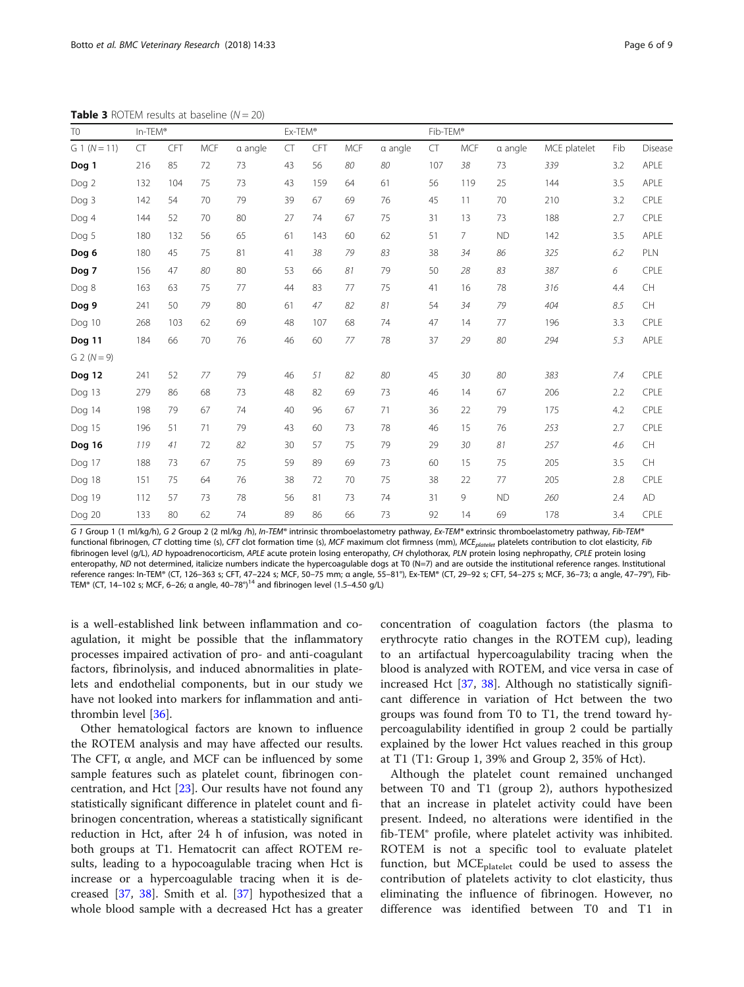| $G_1(N=11)$   | CT  | CFT | <b>MCF</b> | a angle | CT | CFT | <b>MCF</b> | a angle | CT  | <b>MCF</b>     | a angle   | MCE platelet | Fib | Disease   |
|---------------|-----|-----|------------|---------|----|-----|------------|---------|-----|----------------|-----------|--------------|-----|-----------|
| Dog 1         | 216 | 85  | 72         | 73      | 43 | 56  | 80         | 80      | 107 | 38             | 73        | 339          | 3.2 | APLE      |
| Dog 2         | 132 | 104 | 75         | 73      | 43 | 159 | 64         | 61      | 56  | 119            | 25        | 144          | 3.5 | APLE      |
| Dog 3         | 142 | 54  | 70         | 79      | 39 | 67  | 69         | 76      | 45  | 11             | 70        | 210          | 3.2 | CPLE      |
| Dog 4         | 144 | 52  | 70         | 80      | 27 | 74  | 67         | 75      | 31  | 13             | 73        | 188          | 2.7 | CPLE      |
| Dog 5         | 180 | 132 | 56         | 65      | 61 | 143 | 60         | 62      | 51  | $\overline{7}$ | <b>ND</b> | 142          | 3.5 | APLE      |
| Dog 6         | 180 | 45  | 75         | 81      | 41 | 38  | 79         | 83      | 38  | 34             | 86        | 325          | 6.2 | PLN       |
| Dog 7         | 156 | 47  | 80         | 80      | 53 | 66  | 81         | 79      | 50  | 28             | 83        | 387          | 6   | CPLE      |
| Dog 8         | 163 | 63  | 75         | 77      | 44 | 83  | 77         | 75      | 41  | 16             | 78        | 316          | 4.4 | CH        |
| Dog 9         | 241 | 50  | 79         | 80      | 61 | 47  | 82         | 81      | 54  | 34             | 79        | 404          | 8.5 | CH        |
| Dog 10        | 268 | 103 | 62         | 69      | 48 | 107 | 68         | 74      | 47  | 14             | 77        | 196          | 3.3 | CPLE      |
| Dog 11        | 184 | 66  | 70         | 76      | 46 | 60  | 77         | 78      | 37  | 29             | 80        | 294          | 5.3 | APLE      |
| $G 2 (N = 9)$ |     |     |            |         |    |     |            |         |     |                |           |              |     |           |
| Dog 12        | 241 | 52  | 77         | 79      | 46 | 51  | 82         | 80      | 45  | 30             | 80        | 383          | 7.4 | CPLE      |
| Dog 13        | 279 | 86  | 68         | 73      | 48 | 82  | 69         | 73      | 46  | 14             | 67        | 206          | 2.2 | CPLE      |
| Dog 14        | 198 | 79  | 67         | 74      | 40 | 96  | 67         | 71      | 36  | 22             | 79        | 175          | 4.2 | CPLE      |
| Dog 15        | 196 | 51  | 71         | 79      | 43 | 60  | 73         | 78      | 46  | 15             | 76        | 253          | 2.7 | CPLE      |
| Dog 16        | 119 | 41  | 72         | 82      | 30 | 57  | 75         | 79      | 29  | 30             | 81        | 257          | 4.6 | CH        |
| Dog 17        | 188 | 73  | 67         | 75      | 59 | 89  | 69         | 73      | 60  | 15             | 75        | 205          | 3.5 | CH        |
| Dog 18        | 151 | 75  | 64         | 76      | 38 | 72  | 70         | 75      | 38  | 22             | 77        | 205          | 2.8 | CPLE      |
| Dog 19        | 112 | 57  | 73         | 78      | 56 | 81  | 73         | 74      | 31  | 9              | <b>ND</b> | 260          | 2.4 | <b>AD</b> |
| Dog 20        | 133 | 80  | 62         | 74      | 89 | 86  | 66         | 73      | 92  | 14             | 69        | 178          | 3.4 | CPLE      |

<span id="page-5-0"></span>**Table 3** ROTEM results at baseline  $(N = 20)$ 

G 1 Group 1 (1 ml/kg/h), G 2 Group 2 (2 ml/kg /h), In-TEM® intrinsic thromboelastometry pathway, Ex-TEM® extrinsic thromboelastometry pathway, Fib-TEM® functional fibrinogen, CT clotting time (s), CFT clot formation time (s), MCF maximum clot firmness (mm), MCE<sub>platelet</sub> platelets contribution to clot elasticity, Fib fibrinogen level (g/L), AD hypoadrenocorticism, APLE acute protein losing enteropathy, CH chylothorax, PLN protein losing nephropathy, CPLE protein losing enteropathy, ND not determined, italicize numbers indicate the hypercoagulable dogs at T0 (N=7) and are outside the institutional reference ranges. Institutional reference ranges: In-TEM® (CT, 126–363 s; CFT, 47–224 s; MCF, 50–75 mm; α angle, 55–81°), Ex-TEM® (CT, 29–92 s; CFT, 54–275 s; MCF, 36–73; α angle, 47–79°), Fib-TEM® (CT, 14–102 s; MCF, 6–26; α angle, 40–78°)<sup>14</sup> and fibrinogen level (1.5–4.50 g/L)

is a well-established link between inflammation and coagulation, it might be possible that the inflammatory processes impaired activation of pro- and anti-coagulant factors, fibrinolysis, and induced abnormalities in platelets and endothelial components, but in our study we have not looked into markers for inflammation and antithrombin level [[36\]](#page-8-0).

Other hematological factors are known to influence the ROTEM analysis and may have affected our results. The CFT,  $\alpha$  angle, and MCF can be influenced by some sample features such as platelet count, fibrinogen concentration, and Hct [\[23\]](#page-8-0). Our results have not found any statistically significant difference in platelet count and fibrinogen concentration, whereas a statistically significant reduction in Hct, after 24 h of infusion, was noted in both groups at T1. Hematocrit can affect ROTEM results, leading to a hypocoagulable tracing when Hct is increase or a hypercoagulable tracing when it is decreased [[37,](#page-8-0) [38](#page-8-0)]. Smith et al. [[37\]](#page-8-0) hypothesized that a whole blood sample with a decreased Hct has a greater concentration of coagulation factors (the plasma to erythrocyte ratio changes in the ROTEM cup), leading to an artifactual hypercoagulability tracing when the blood is analyzed with ROTEM, and vice versa in case of increased Hct [\[37](#page-8-0), [38](#page-8-0)]. Although no statistically significant difference in variation of Hct between the two groups was found from T0 to T1, the trend toward hypercoagulability identified in group 2 could be partially explained by the lower Hct values reached in this group at T1 (T1: Group 1, 39% and Group 2, 35% of Hct).

Although the platelet count remained unchanged between T0 and T1 (group 2), authors hypothesized that an increase in platelet activity could have been present. Indeed, no alterations were identified in the fib-TEM® profile, where platelet activity was inhibited. ROTEM is not a specific tool to evaluate platelet function, but  $MCE_{platelet}$  could be used to assess the contribution of platelets activity to clot elasticity, thus eliminating the influence of fibrinogen. However, no difference was identified between T0 and T1 in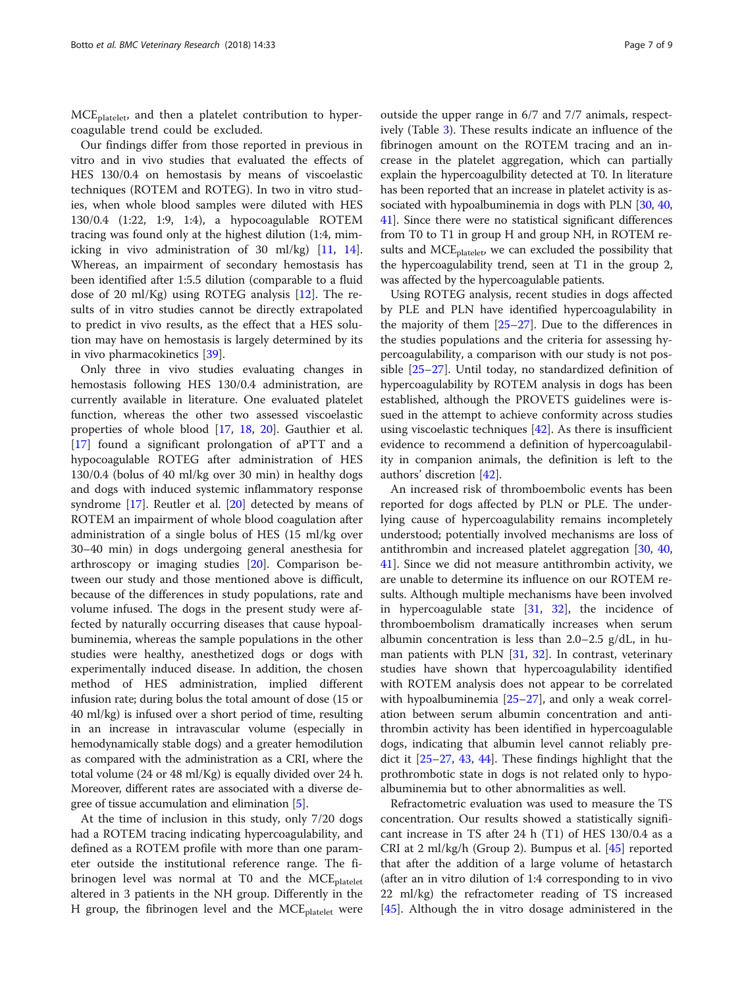MCE<sub>platelet</sub>, and then a platelet contribution to hypercoagulable trend could be excluded.

Our findings differ from those reported in previous in vitro and in vivo studies that evaluated the effects of HES 130/0.4 on hemostasis by means of viscoelastic techniques (ROTEM and ROTEG). In two in vitro studies, when whole blood samples were diluted with HES 130/0.4 (1:22, 1:9, 1:4), a hypocoagulable ROTEM tracing was found only at the highest dilution (1:4, mimicking in vivo administration of 30 ml/kg) [\[11](#page-8-0), [14](#page-8-0)]. Whereas, an impairment of secondary hemostasis has been identified after 1:5.5 dilution (comparable to a fluid dose of 20 ml/Kg) using ROTEG analysis [\[12](#page-8-0)]. The results of in vitro studies cannot be directly extrapolated to predict in vivo results, as the effect that a HES solution may have on hemostasis is largely determined by its in vivo pharmacokinetics [\[39](#page-8-0)].

Only three in vivo studies evaluating changes in hemostasis following HES 130/0.4 administration, are currently available in literature. One evaluated platelet function, whereas the other two assessed viscoelastic properties of whole blood [\[17](#page-8-0), [18,](#page-8-0) [20](#page-8-0)]. Gauthier et al. [[17\]](#page-8-0) found a significant prolongation of aPTT and a hypocoagulable ROTEG after administration of HES 130/0.4 (bolus of 40 ml/kg over 30 min) in healthy dogs and dogs with induced systemic inflammatory response syndrome [[17\]](#page-8-0). Reutler et al. [[20\]](#page-8-0) detected by means of ROTEM an impairment of whole blood coagulation after administration of a single bolus of HES (15 ml/kg over 30–40 min) in dogs undergoing general anesthesia for arthroscopy or imaging studies [[20\]](#page-8-0). Comparison between our study and those mentioned above is difficult, because of the differences in study populations, rate and volume infused. The dogs in the present study were affected by naturally occurring diseases that cause hypoalbuminemia, whereas the sample populations in the other studies were healthy, anesthetized dogs or dogs with experimentally induced disease. In addition, the chosen method of HES administration, implied different infusion rate; during bolus the total amount of dose (15 or 40 ml/kg) is infused over a short period of time, resulting in an increase in intravascular volume (especially in hemodynamically stable dogs) and a greater hemodilution as compared with the administration as a CRI, where the total volume (24 or 48 ml/Kg) is equally divided over 24 h. Moreover, different rates are associated with a diverse degree of tissue accumulation and elimination [\[5\]](#page-7-0).

At the time of inclusion in this study, only 7/20 dogs had a ROTEM tracing indicating hypercoagulability, and defined as a ROTEM profile with more than one parameter outside the institutional reference range. The fibrinogen level was normal at T0 and the  $MCE_{\text{platelet}}$ altered in 3 patients in the NH group. Differently in the H group, the fibrinogen level and the  $MCE_{platelet}$  were

outside the upper range in 6/7 and 7/7 animals, respectively (Table [3\)](#page-5-0). These results indicate an influence of the fibrinogen amount on the ROTEM tracing and an increase in the platelet aggregation, which can partially explain the hypercoagulbility detected at T0. In literature has been reported that an increase in platelet activity is as-sociated with hypoalbuminemia in dogs with PLN [\[30,](#page-8-0) [40](#page-8-0), [41](#page-8-0)]. Since there were no statistical significant differences from T0 to T1 in group H and group NH, in ROTEM results and MCE<sub>platelet</sub>, we can excluded the possibility that the hypercoagulability trend, seen at T1 in the group 2, was affected by the hypercoagulable patients.

Using ROTEG analysis, recent studies in dogs affected by PLE and PLN have identified hypercoagulability in the majority of them [[25](#page-8-0)–[27](#page-8-0)]. Due to the differences in the studies populations and the criteria for assessing hypercoagulability, a comparison with our study is not possible [\[25](#page-8-0)–[27\]](#page-8-0). Until today, no standardized definition of hypercoagulability by ROTEM analysis in dogs has been established, although the PROVETS guidelines were issued in the attempt to achieve conformity across studies using viscoelastic techniques [\[42](#page-8-0)]. As there is insufficient evidence to recommend a definition of hypercoagulability in companion animals, the definition is left to the authors' discretion [[42\]](#page-8-0).

An increased risk of thromboembolic events has been reported for dogs affected by PLN or PLE. The underlying cause of hypercoagulability remains incompletely understood; potentially involved mechanisms are loss of antithrombin and increased platelet aggregation [[30,](#page-8-0) [40](#page-8-0), [41\]](#page-8-0). Since we did not measure antithrombin activity, we are unable to determine its influence on our ROTEM results. Although multiple mechanisms have been involved in hypercoagulable state  $[31, 32]$  $[31, 32]$  $[31, 32]$  $[31, 32]$ , the incidence of thromboembolism dramatically increases when serum albumin concentration is less than 2.0–2.5 g/dL, in human patients with PLN  $[31, 32]$  $[31, 32]$  $[31, 32]$  $[31, 32]$  $[31, 32]$ . In contrast, veterinary studies have shown that hypercoagulability identified with ROTEM analysis does not appear to be correlated with hypoalbuminemia [[25](#page-8-0)–[27](#page-8-0)], and only a weak correlation between serum albumin concentration and antithrombin activity has been identified in hypercoagulable dogs, indicating that albumin level cannot reliably predict it [\[25](#page-8-0)–[27,](#page-8-0) [43](#page-8-0), [44](#page-8-0)]. These findings highlight that the prothrombotic state in dogs is not related only to hypoalbuminemia but to other abnormalities as well.

Refractometric evaluation was used to measure the TS concentration. Our results showed a statistically significant increase in TS after 24 h (T1) of HES 130/0.4 as a CRI at 2 ml/kg/h (Group 2). Bumpus et al. [[45](#page-8-0)] reported that after the addition of a large volume of hetastarch (after an in vitro dilution of 1:4 corresponding to in vivo 22 ml/kg) the refractometer reading of TS increased [[45\]](#page-8-0). Although the in vitro dosage administered in the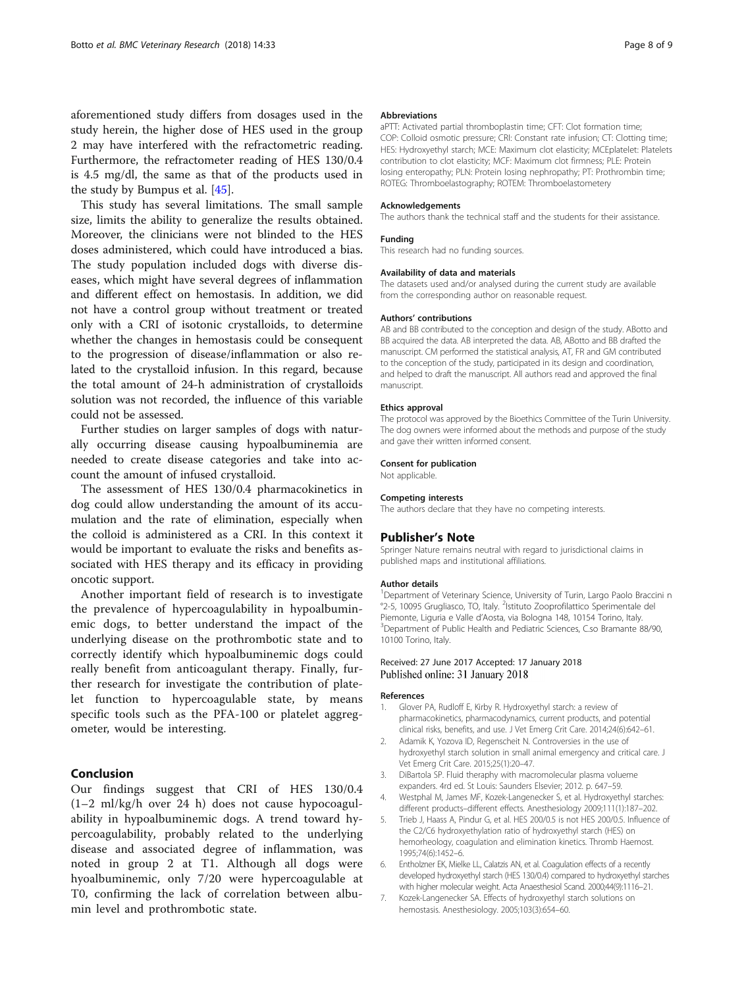<span id="page-7-0"></span>aforementioned study differs from dosages used in the study herein, the higher dose of HES used in the group 2 may have interfered with the refractometric reading. Furthermore, the refractometer reading of HES 130/0.4 is 4.5 mg/dl, the same as that of the products used in the study by Bumpus et al. [\[45\]](#page-8-0).

This study has several limitations. The small sample size, limits the ability to generalize the results obtained. Moreover, the clinicians were not blinded to the HES doses administered, which could have introduced a bias. The study population included dogs with diverse diseases, which might have several degrees of inflammation and different effect on hemostasis. In addition, we did not have a control group without treatment or treated only with a CRI of isotonic crystalloids, to determine whether the changes in hemostasis could be consequent to the progression of disease/inflammation or also related to the crystalloid infusion. In this regard, because the total amount of 24-h administration of crystalloids solution was not recorded, the influence of this variable could not be assessed.

Further studies on larger samples of dogs with naturally occurring disease causing hypoalbuminemia are needed to create disease categories and take into account the amount of infused crystalloid.

The assessment of HES 130/0.4 pharmacokinetics in dog could allow understanding the amount of its accumulation and the rate of elimination, especially when the colloid is administered as a CRI. In this context it would be important to evaluate the risks and benefits associated with HES therapy and its efficacy in providing oncotic support.

Another important field of research is to investigate the prevalence of hypercoagulability in hypoalbuminemic dogs, to better understand the impact of the underlying disease on the prothrombotic state and to correctly identify which hypoalbuminemic dogs could really benefit from anticoagulant therapy. Finally, further research for investigate the contribution of platelet function to hypercoagulable state, by means specific tools such as the PFA-100 or platelet aggregometer, would be interesting.

## Conclusion

Our findings suggest that CRI of HES 130/0.4 (1–2 ml/kg/h over 24 h) does not cause hypocoagulability in hypoalbuminemic dogs. A trend toward hypercoagulability, probably related to the underlying disease and associated degree of inflammation, was noted in group 2 at T1. Although all dogs were hyoalbuminemic, only 7/20 were hypercoagulable at T0, confirming the lack of correlation between albumin level and prothrombotic state.

### Abbreviations

aPTT: Activated partial thromboplastin time; CFT: Clot formation time; COP: Colloid osmotic pressure; CRI: Constant rate infusion; CT: Clotting time; HES: Hydroxyethyl starch; MCE: Maximum clot elasticity; MCEplatelet: Platelets contribution to clot elasticity; MCF: Maximum clot firmness; PLE: Protein losing enteropathy; PLN: Protein losing nephropathy; PT: Prothrombin time; ROTEG: Thromboelastography; ROTEM: Thromboelastometery

### Acknowledgements

The authors thank the technical staff and the students for their assistance.

# Funding

This research had no funding sources.

### Availability of data and materials

The datasets used and/or analysed during the current study are available from the corresponding author on reasonable request.

### Authors' contributions

AB and BB contributed to the conception and design of the study. ABotto and BB acquired the data. AB interpreted the data. AB, ABotto and BB drafted the manuscript. CM performed the statistical analysis, AT, FR and GM contributed to the conception of the study, participated in its design and coordination, and helped to draft the manuscript. All authors read and approved the final manuscript.

### Ethics approval

The protocol was approved by the Bioethics Committee of the Turin University. The dog owners were informed about the methods and purpose of the study and gave their written informed consent.

### Consent for publication

Not applicable.

#### Competing interests

The authors declare that they have no competing interests.

### Publisher's Note

Springer Nature remains neutral with regard to jurisdictional claims in published maps and institutional affiliations.

### Author details

<sup>1</sup>Department of Veterinary Science, University of Turin, Largo Paolo Braccini n °2-5, 10095 Grugliasco, TO, Italy. <sup>2</sup>Istituto Zooprofilattico Sperimentale del Piemonte, Liguria e Valle d'Aosta, via Bologna 148, 10154 Torino, Italy. <sup>3</sup> Department of Public Health and Pediatric Sciences, C.so Bramante 88/90, 10100 Torino, Italy.

### Received: 27 June 2017 Accepted: 17 January 2018 Published online: 31 January 2018

#### References

- 1. Glover PA, Rudloff E, Kirby R. Hydroxyethyl starch: a review of pharmacokinetics, pharmacodynamics, current products, and potential clinical risks, benefits, and use. J Vet Emerg Crit Care. 2014;24(6):642–61.
- 2. Adamik K, Yozova ID, Regenscheit N. Controversies in the use of hydroxyethyl starch solution in small animal emergency and critical care. J Vet Emerg Crit Care. 2015;25(1):20–47.
- 3. DiBartola SP. Fluid theraphy with macromolecular plasma volueme expanders. 4rd ed. St Louis: Saunders Elsevier; 2012. p. 647–59.
- 4. Westphal M, James MF, Kozek-Langenecker S, et al. Hydroxyethyl starches: different products–different effects. Anesthesiology 2009;111(1):187–202.
- 5. Trieb J, Haass A, Pindur G, et al. HES 200/0.5 is not HES 200/0.5. Influence of the C2/C6 hydroxyethylation ratio of hydroxyethyl starch (HES) on hemorheology, coagulation and elimination kinetics. Thromb Haemost. 1995;74(6):1452–6.
- 6. Entholzner EK, Mielke LL, Calatzis AN, et al. Coagulation effects of a recently developed hydroxyethyl starch (HES 130/0.4) compared to hydroxyethyl starches with higher molecular weight. Acta Anaesthesiol Scand. 2000;44(9):1116–21.
- 7. Kozek-Langenecker SA. Effects of hydroxyethyl starch solutions on hemostasis. Anesthesiology. 2005;103(3):654–60.